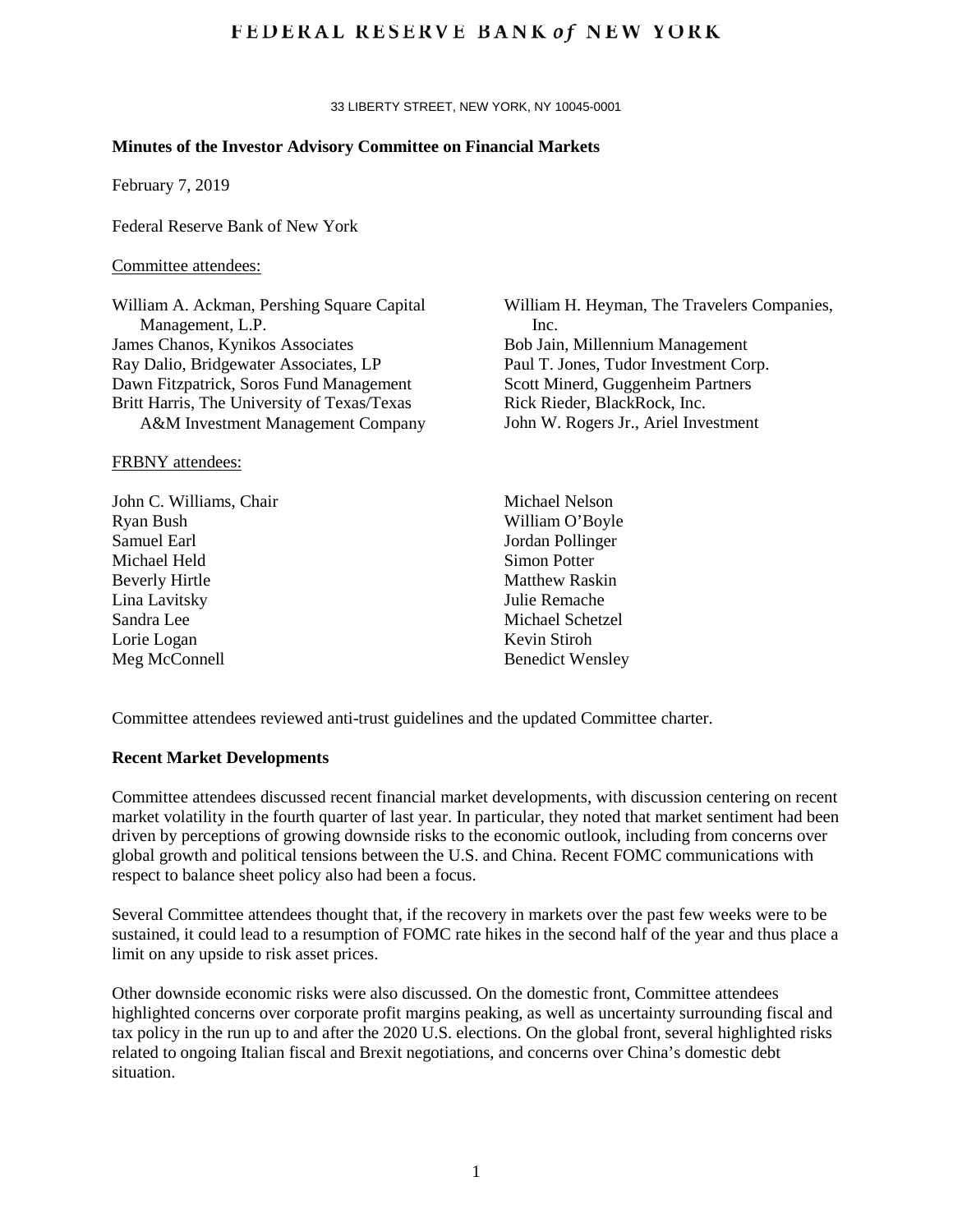## **FEDERAL RESERVE BANK of NEW YORK**

33 LIBERTY STREET, NEW YORK, NY 10045-0001

## **Minutes of the Investor Advisory Committee on Financial Markets**

February 7, 2019

Federal Reserve Bank of New York

#### Committee attendees:

William A. Ackman, Pershing Square Capital Management, L.P. James Chanos, Kynikos Associates Ray Dalio, Bridgewater Associates, LP Dawn Fitzpatrick, Soros Fund Management Britt Harris, The University of Texas/Texas A&M Investment Management Company

### FRBNY attendees:

John C. Williams, Chair Ryan Bush Samuel Earl Michael Held Beverly Hirtle Lina Lavitsky Sandra Lee Lorie Logan Meg McConnell

William H. Heyman, The Travelers Companies, Inc. Bob Jain, Millennium Management Paul T. Jones, Tudor Investment Corp. Scott Minerd, Guggenheim Partners Rick Rieder, BlackRock, Inc. John W. Rogers Jr., Ariel Investment

Michael Nelson William O'Boyle Jordan Pollinger Simon Potter Matthew Raskin Julie Remache Michael Schetzel Kevin Stiroh Benedict Wensley

Committee attendees reviewed anti-trust guidelines and the updated Committee charter.

#### **Recent Market Developments**

Committee attendees discussed recent financial market developments, with discussion centering on recent market volatility in the fourth quarter of last year. In particular, they noted that market sentiment had been driven by perceptions of growing downside risks to the economic outlook, including from concerns over global growth and political tensions between the U.S. and China. Recent FOMC communications with respect to balance sheet policy also had been a focus.

Several Committee attendees thought that, if the recovery in markets over the past few weeks were to be sustained, it could lead to a resumption of FOMC rate hikes in the second half of the year and thus place a limit on any upside to risk asset prices.

Other downside economic risks were also discussed. On the domestic front, Committee attendees highlighted concerns over corporate profit margins peaking, as well as uncertainty surrounding fiscal and tax policy in the run up to and after the 2020 U.S. elections. On the global front, several highlighted risks related to ongoing Italian fiscal and Brexit negotiations, and concerns over China's domestic debt situation.